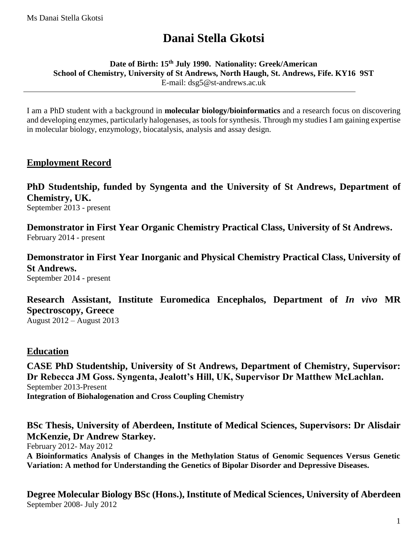# **Danai Stella Gkotsi**

**Date of Birth: 15th July 1990. Nationality: Greek/American School of Chemistry, University of St Andrews, North Haugh, St. Andrews, Fife. KY16 9ST** E-mail: dsg5@st-andrews.ac.uk

I am a PhD student with a background in **molecular biology/bioinformatics** and a research focus on discovering and developing enzymes, particularly halogenases, as tools for synthesis. Through my studies I am gaining expertise in molecular biology, enzymology, biocatalysis, analysis and assay design.

# **Employment Record**

**PhD Studentship, funded by Syngenta and the University of St Andrews, Department of Chemistry, UK.** September 2013 - present

**Demonstrator in First Year Organic Chemistry Practical Class, University of St Andrews.** February 2014 - present

**Demonstrator in First Year Inorganic and Physical Chemistry Practical Class, University of St Andrews.** September 2014 - present

**Research Assistant, Institute Euromedica Encephalos, Department of** *In vivo* **MR Spectroscopy, Greece**

August 2012 – August 2013

# **Education**

**CASE PhD Studentship, University of St Andrews, Department of Chemistry, Supervisor: Dr Rebecca JM Goss. Syngenta, Jealott's Hill, UK, Supervisor Dr Matthew McLachlan.** September 2013-Present **Integration of Biohalogenation and Cross Coupling Chemistry**

**BSc Thesis, University of Aberdeen, Institute of Medical Sciences, Supervisors: Dr Alisdair McKenzie, Dr Andrew Starkey.** February 2012- May 2012 **A Bioinformatics Analysis of Changes in the Methylation Status of Genomic Sequences Versus Genetic Variation: A method for Understanding the Genetics of Bipolar Disorder and Depressive Diseases.**

**Degree Molecular Biology BSc (Hons.), Institute of Medical Sciences, University of Aberdeen** September 2008- July 2012